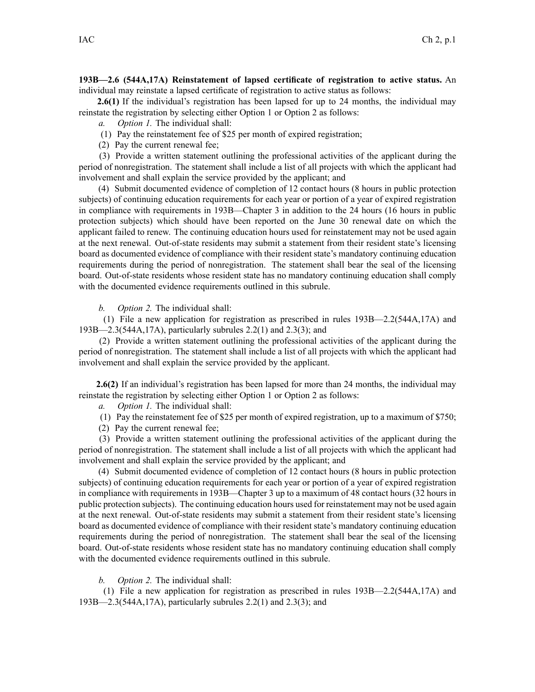**193B—2.6 (544A,17A) Reinstatement of lapsed certificate of registration to active status.** An individual may reinstate <sup>a</sup> lapsed certificate of registration to active status as follows:

**2.6(1)** If the individual's registration has been lapsed for up to 24 months, the individual may reinstate the registration by selecting either Option 1 or Option 2 as follows:

- *a. Option 1.* The individual shall:
- (1) Pay the reinstatement fee of \$25 per month of expired registration;
- (2) Pay the current renewal fee;

(3) Provide <sup>a</sup> written statement outlining the professional activities of the applicant during the period of nonregistration. The statement shall include <sup>a</sup> list of all projects with which the applicant had involvement and shall explain the service provided by the applicant; and

(4) Submit documented evidence of completion of 12 contact hours (8 hours in public protection subjects) of continuing education requirements for each year or portion of <sup>a</sup> year of expired registration in compliance with requirements in 193B—Chapter 3 in addition to the 24 hours (16 hours in public protection subjects) which should have been reported on the June 30 renewal date on which the applicant failed to renew. The continuing education hours used for reinstatement may not be used again at the next renewal. Out-of-state residents may submit <sup>a</sup> statement from their resident state's licensing board as documented evidence of compliance with their resident state's mandatory continuing education requirements during the period of nonregistration. The statement shall bear the seal of the licensing board. Out-of-state residents whose resident state has no mandatory continuing education shall comply with the documented evidence requirements outlined in this subrule.

*b. Option 2.* The individual shall:

(1) File <sup>a</sup> new application for registration as prescribed in rules 193B—2.2(544A,17A) and 193B—2.3(544A,17A), particularly subrules 2.2(1) and 2.3(3); and

(2) Provide <sup>a</sup> written statement outlining the professional activities of the applicant during the period of nonregistration. The statement shall include <sup>a</sup> list of all projects with which the applicant had involvement and shall explain the service provided by the applicant.

**2.6(2)** If an individual's registration has been lapsed for more than 24 months, the individual may reinstate the registration by selecting either Option 1 or Option 2 as follows:

*a. Option 1.* The individual shall:

(1) Pay the reinstatement fee of \$25 per month of expired registration, up to <sup>a</sup> maximum of \$750;

(2) Pay the current renewal fee;

(3) Provide <sup>a</sup> written statement outlining the professional activities of the applicant during the period of nonregistration. The statement shall include <sup>a</sup> list of all projects with which the applicant had involvement and shall explain the service provided by the applicant; and

(4) Submit documented evidence of completion of 12 contact hours (8 hours in public protection subjects) of continuing education requirements for each year or portion of <sup>a</sup> year of expired registration in compliance with requirements in 193B—Chapter 3 up to <sup>a</sup> maximum of 48 contact hours (32 hours in public protection subjects). The continuing education hours used for reinstatement may not be used again at the next renewal. Out-of-state residents may submit <sup>a</sup> statement from their resident state's licensing board as documented evidence of compliance with their resident state's mandatory continuing education requirements during the period of nonregistration. The statement shall bear the seal of the licensing board. Out-of-state residents whose resident state has no mandatory continuing education shall comply with the documented evidence requirements outlined in this subrule.

*b. Option 2.* The individual shall:

(1) File <sup>a</sup> new application for registration as prescribed in rules 193B—2.2(544A,17A) and 193B—2.3(544A,17A), particularly subrules 2.2(1) and 2.3(3); and